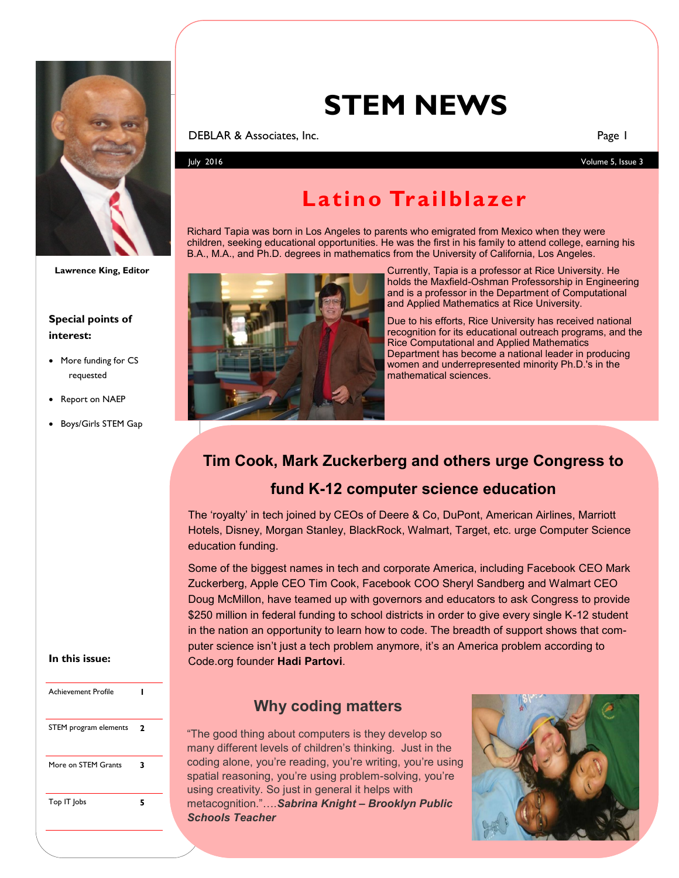

**Lawrence King, Editor**

#### **Special points of interest:**

- More funding for CS requested
- Report on NAEP
- Boys/Girls STEM Gap

# **STEM NEWS**

#### **DEBLAR & Associates, Inc.** Page 1

July 2016 Volume 5, Issue 3

## **Latino Trailblazer**

Richard Tapia was born in Los Angeles to parents who emigrated from Mexico when they were children, seeking educational opportunities. He was the first in his family to attend college, earning his B.A., M.A., and Ph.D. degrees in mathematics from the University of California, Los Angeles.



Currently, Tapia is a professor at Rice University. He holds the Maxfield-Oshman Professorship in Engineering and is a professor in the Department of Computational and Applied Mathematics at Rice University.

Due to his efforts, Rice University has received national recognition for its educational outreach programs, and the Rice Computational and Applied Mathematics Department has become a national leader in producing women and underrepresented minority Ph.D.'s in the mathematical sciences.

## **Tim Cook, Mark Zuckerberg and others urge Congress to**

## **fund K-12 computer science education**

The 'royalty' in tech joined by CEOs of Deere & Co, DuPont, American Airlines, Marriott Hotels, Disney, Morgan Stanley, BlackRock, Walmart, Target, etc. urge Computer Science education funding.

Some of the biggest names in tech and corporate America, including Facebook CEO Mark Zuckerberg, Apple CEO Tim Cook, Facebook COO Sheryl Sandberg and Walmart CEO Doug McMillon, have teamed up with governors and educators to ask Congress to provide \$250 million in federal funding to school districts in order to give every single K-12 student in the nation an opportunity to learn how to code. The breadth of support shows that computer science isn't just a tech problem anymore, it's an America problem according to Code.org founder **Hadi Partovi**.

## **Why coding matters**

"The good thing about computers is they develop so many different levels of children's thinking. Just in the coding alone, you're reading, you're writing, you're using spatial reasoning, you're using problem-solving, you're using creativity. So just in general it helps with metacognition."….*Sabrina Knight – Brooklyn Public Schools Teacher*



#### **In this issue:**

| Achievement Profile   |   |  |
|-----------------------|---|--|
| STEM program elements | 2 |  |
| More on STFM Grants   | 3 |  |
| Top IT Jobs           | 5 |  |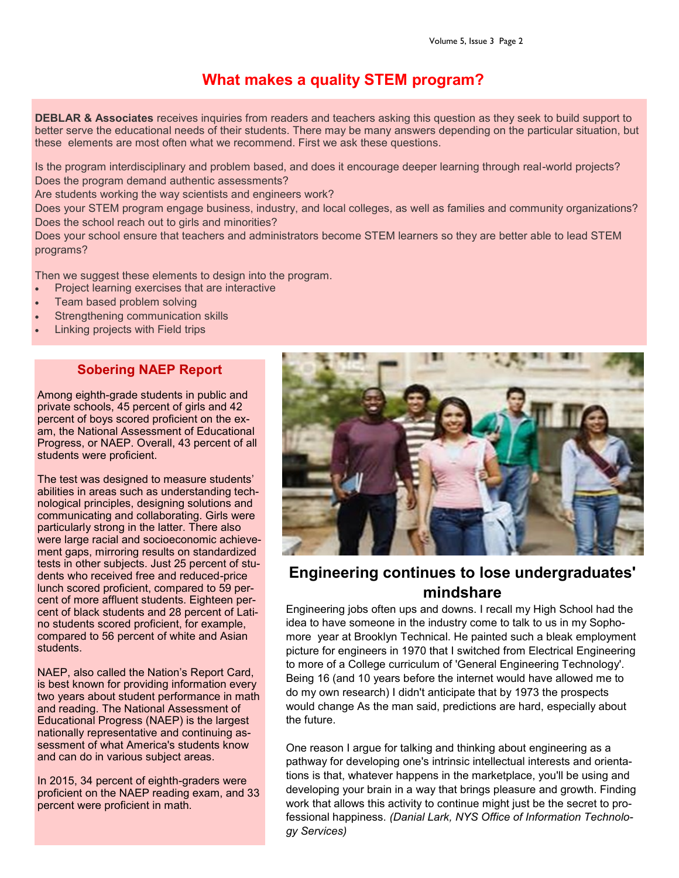## **What makes a quality STEM program?**

**DEBLAR & Associates** receives inquiries from readers and teachers asking this question as they seek to build support to better serve the educational needs of their students. There may be many answers depending on the particular situation, but these elements are most often what we recommend. First we ask these questions.

Is the program interdisciplinary and problem based, and does it encourage deeper learning through real-world projects? Does the program demand authentic assessments?

Are students working the way scientists and engineers work?

Does your STEM program engage business, industry, and local colleges, as well as families and community organizations? Does the school reach out to girls and minorities?

Does your school ensure that teachers and administrators become STEM learners so they are better able to lead STEM programs?

Then we suggest these elements to design into the program.

- Project learning exercises that are interactive
- Team based problem solving
- Strengthening communication skills
- Linking projects with Field trips

### **Sobering NAEP Report**

Among eighth-grade students in public and private schools, 45 percent of girls and 42 percent of boys scored proficient on the exam, the National Assessment of Educational Progress, or NAEP. Overall, 43 percent of all students were proficient.

The test was designed to measure students' abilities in areas such as understanding technological principles, designing solutions and communicating and collaborating. Girls were particularly strong in the latter. There also were large racial and socioeconomic achievement gaps, mirroring results on standardized tests in other subjects. Just 25 percent of students who received free and reduced-price lunch scored proficient, compared to 59 percent of more affluent students. Eighteen percent of black students and 28 percent of Latino students scored proficient, for example, compared to 56 percent of white and Asian students.

NAEP, also called the Nation's Report Card, is best known for providing information every two years about student performance in math and reading. The National Assessment of Educational Progress (NAEP) is the largest nationally representative and continuing assessment of what America's students know and can do in various subject areas.

In 2015, 34 percent of eighth-graders were proficient on the NAEP reading exam, and 33 percent were proficient in math.



## **Engineering continues to lose undergraduates' mindshare**

Engineering jobs often ups and downs. I recall my High School had the idea to have someone in the industry come to talk to us in my Sophomore year at Brooklyn Technical. He painted such a bleak employment picture for engineers in 1970 that I switched from Electrical Engineering to more of a College curriculum of 'General Engineering Technology'. Being 16 (and 10 years before the internet would have allowed me to do my own research) I didn't anticipate that by 1973 the prospects would change As the man said, predictions are hard, especially about the future.

One reason I argue for talking and thinking about engineering as a pathway for developing one's intrinsic intellectual interests and orientations is that, whatever happens in the marketplace, you'll be using and developing your brain in a way that brings pleasure and growth. Finding work that allows this activity to continue might just be the secret to professional happiness. *(Danial Lark, NYS Office of Information Technology Services)*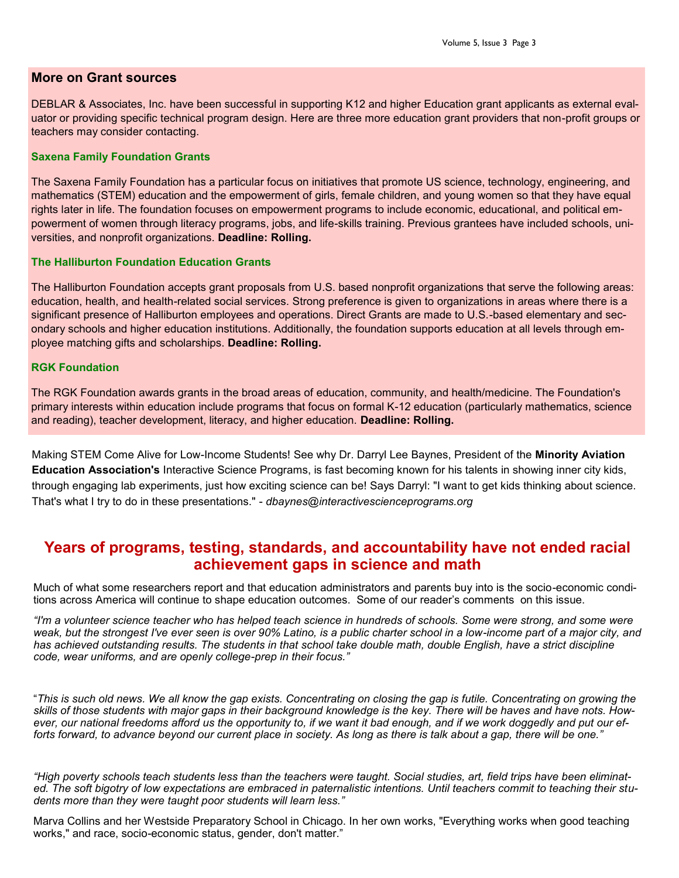#### **More on Grant sources**

DEBLAR & Associates, Inc. have been successful in supporting K12 and higher Education grant applicants as external evaluator or providing specific technical program design. Here are three more education grant providers that non-profit groups or teachers may consider contacting.

#### **Saxena Family Foundation Grants**

The Saxena Family Foundation has a particular focus on initiatives that promote US science, technology, engineering, and mathematics (STEM) education and the empowerment of girls, female children, and young women so that they have equal rights later in life. The foundation focuses on empowerment programs to include economic, educational, and political empowerment of women through literacy programs, jobs, and life-skills training. Previous grantees have included schools, universities, and nonprofit organizations. **Deadline: Rolling.**

#### **The Halliburton Foundation Education Grants**

The Halliburton Foundation accepts grant proposals from U.S. based nonprofit organizations that serve the following areas: education, health, and health-related social services. Strong preference is given to organizations in areas where there is a significant presence of Halliburton employees and operations. Direct Grants are made to U.S.-based elementary and secondary schools and higher education institutions. Additionally, the foundation supports education at all levels through employee matching gifts and scholarships. **Deadline: Rolling.**

#### **RGK Foundation**

The RGK Foundation awards grants in the broad areas of education, community, and health/medicine. The Foundation's primary interests within education include programs that focus on formal K-12 education (particularly mathematics, science and reading), teacher development, literacy, and higher education. **Deadline: Rolling.**

Making STEM Come Alive for Low-Income Students! See why Dr. Darryl Lee Baynes, President of the **Minority Aviation Education Association's** Interactive Science Programs, is fast becoming known for his talents in showing inner city kids, through engaging lab experiments, just how exciting science can be! Says Darryl: "I want to get kids thinking about science. That's what I try to do in these presentations." - *dbaynes@interactivescienceprograms.org*

## **Years of programs, testing, standards, and accountability have not ended racial achievement gaps in science and math**

Much of what some researchers report and that education administrators and parents buy into is the socio-economic conditions across America will continue to shape education outcomes. Some of our reader's comments on this issue.

*"I'm a volunteer science teacher who has helped teach science in hundreds of schools. Some were strong, and some were weak, but the strongest I've ever seen is over 90% Latino, is a public charter school in a low-income part of a major city, and has achieved outstanding results. The students in that school take double math, double English, have a strict discipline code, wear uniforms, and are openly college-prep in their focus."*

"*This is such old news. We all know the gap exists. Concentrating on closing the gap is futile. Concentrating on growing the skills of those students with major gaps in their background knowledge is the key. There will be haves and have nots. However, our national freedoms afford us the opportunity to, if we want it bad enough, and if we work doggedly and put our efforts forward, to advance beyond our current place in society. As long as there is talk about a gap, there will be one."*

*"High poverty schools teach students less than the teachers were taught. Social studies, art, field trips have been eliminated. The soft bigotry of low expectations are embraced in paternalistic intentions. Until teachers commit to teaching their students more than they were taught poor students will learn less."*

Marva Collins and her Westside Preparatory School in Chicago. In her own works, "Everything works when good teaching works," and race, socio-economic status, gender, don't matter."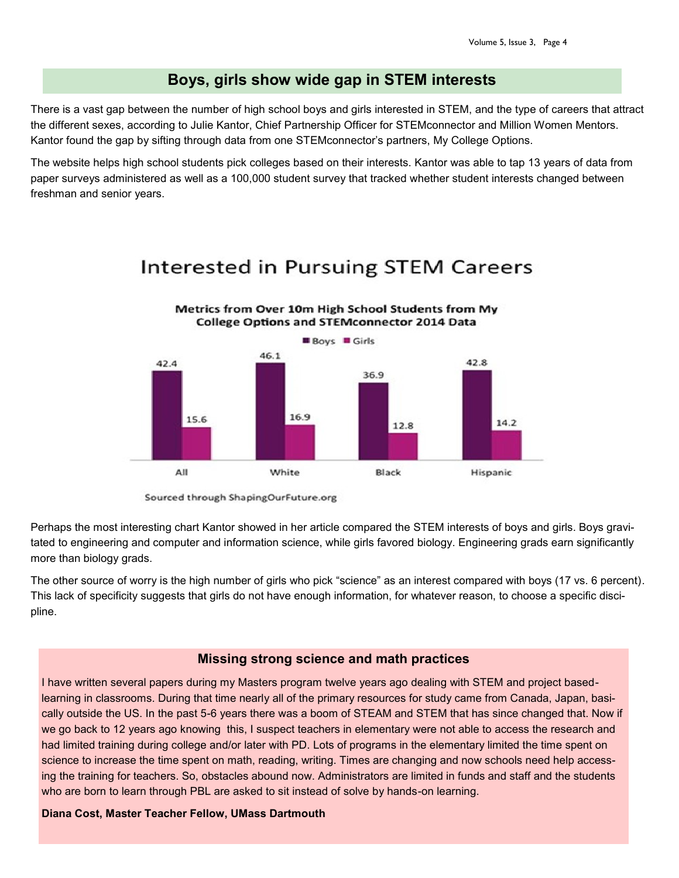### **Boys, girls show wide gap in STEM interests**

There is a vast gap between the number of high school boys and girls interested in STEM, and the type of careers that attract the different sexes, according to Julie Kantor, Chief Partnership Officer for STEMconnector and Million Women Mentors. Kantor found the gap by sifting through data from one STEMconnector's partners, My College Options.

The website helps high school students pick colleges based on their interests. Kantor was able to tap 13 years of data from paper surveys administered as well as a 100,000 student survey that tracked whether student interests changed between freshman and senior years.

## Interested in Pursuing STEM Careers

Metrics from Over 10m High School Students from My



Sourced through ShapingOurFuture.org

Perhaps the most interesting chart Kantor showed in her article compared the STEM interests of boys and girls. Boys gravitated to engineering and computer and information science, while girls favored biology. Engineering grads earn significantly more than biology grads.

The other source of worry is the high number of girls who pick "science" as an interest compared with boys (17 vs. 6 percent). This lack of specificity suggests that girls do not have enough information, for whatever reason, to choose a specific discipline.

#### **Missing strong science and math practices**

I have written several papers during my Masters program twelve years ago dealing with STEM and project basedlearning in classrooms. During that time nearly all of the primary resources for study came from Canada, Japan, basically outside the US. In the past 5-6 years there was a boom of STEAM and STEM that has since changed that. Now if we go back to 12 years ago knowing this, I suspect teachers in elementary were not able to access the research and had limited training during college and/or later with PD. Lots of programs in the elementary limited the time spent on science to increase the time spent on math, reading, writing. Times are changing and now schools need help accessing the training for teachers. So, obstacles abound now. Administrators are limited in funds and staff and the students who are born to learn through PBL are asked to sit instead of solve by hands-on learning.

#### **Diana Cost, Master Teacher Fellow, UMass Dartmouth**